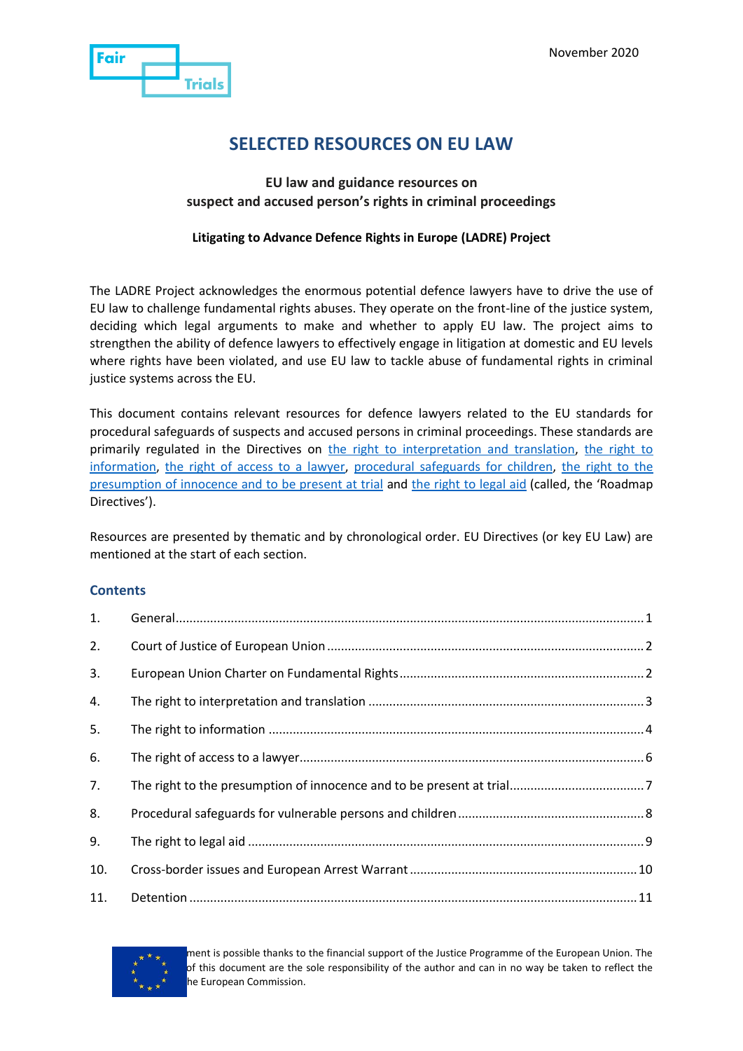

# **SELECTED RESOURCES ON EU LAW**

#### **EU law and guidance resources on suspect and accused person's rights in criminal proceedings**

#### **Litigating to Advance Defence Rights in Europe (LADRE) Project**

The LADRE Project acknowledges the enormous potential defence lawyers have to drive the use of EU law to challenge fundamental rights abuses. They operate on the front-line of the justice system, deciding which legal arguments to make and whether to apply EU law. The project aims to strengthen the ability of defence lawyers to effectively engage in litigation at domestic and EU levels where rights have been violated, and use EU law to tackle abuse of fundamental rights in criminal justice systems across the EU.

This document contains relevant resources for defence lawyers related to the EU standards for procedural safeguards of suspects and accused persons in criminal proceedings. These standards are primarily regulated in the Directives on [the right to interpretation and translation,](http://eur-lex.europa.eu/legal-content/EN/TXT/?qid=1415136984378&uri=CELEX:32010L0064) the right to [information,](http://eur-lex.europa.eu/legal-content/EN/TXT/?qid=1415137055697&uri=CELEX:32012L0013) [the right of access to a lawyer,](http://eur-lex.europa.eu/legal-content/EN/TXT/?qid=1415137138499&uri=CELEX:32013L0048) [procedural safeguards for children,](https://eur-lex.europa.eu/legal-content/EN/TXT/?uri=CELEX%3A32016L0800) [the right to the](https://eur-lex.europa.eu/legal-content/EN/TXT/?uri=CELEX:32016L0343)  [presumption of innocence and to be present at trial](https://eur-lex.europa.eu/legal-content/EN/TXT/?uri=CELEX:32016L0343) and [the right to legal aid](https://eur-lex.europa.eu/legal-content/EN/TXT/?uri=CELEX%3A32016L1919) (called, the 'Roadmap Directives').

Resources are presented by thematic and by chronological order. EU Directives (or key EU Law) are mentioned at the start of each section.

#### **Contents**

| 1.  |  |
|-----|--|
| 2.  |  |
| 3.  |  |
| 4.  |  |
| 5.  |  |
| 6.  |  |
| 7.  |  |
| 8.  |  |
| 9.  |  |
| 10. |  |
| 11. |  |



ment is possible thanks to the financial support of the Justice Programme of the European Union. The of this document are the sole responsibility of the author and can in no way be taken to reflect the he European Commission.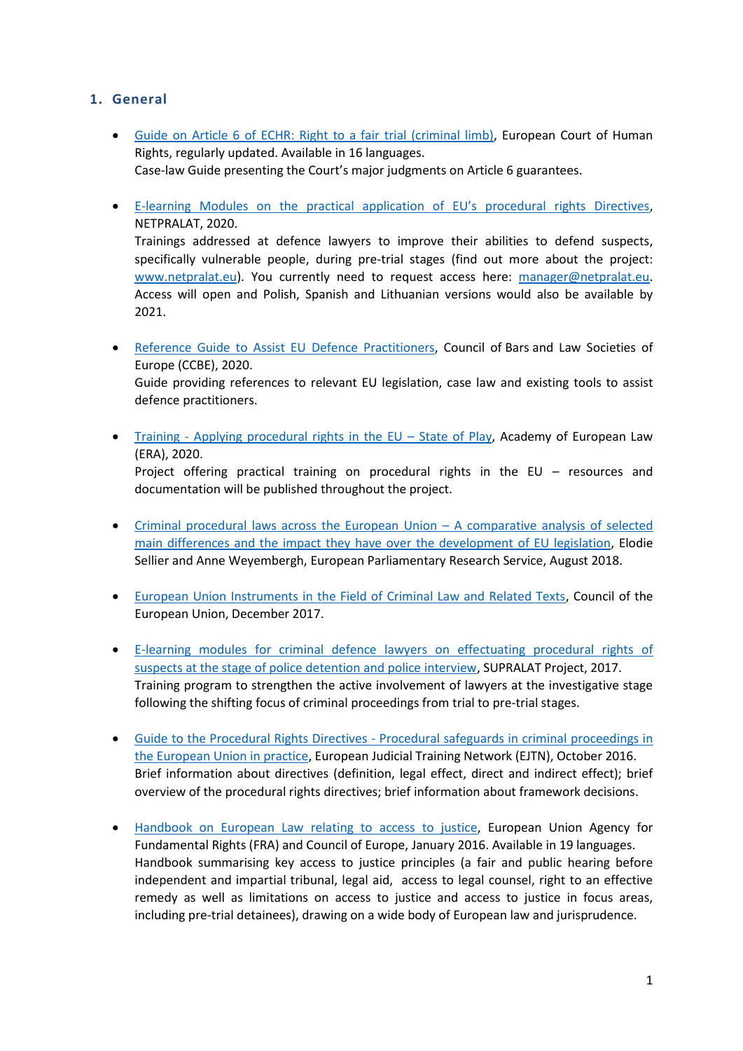## <span id="page-1-0"></span>**1. General**

- Guide on Article 6 of [ECHR: Right to a fair trial \(criminal limb\),](https://www.echr.coe.int/Pages/home.aspx?p=caselaw/analysis/guides) European Court of Human Rights, regularly updated. Available in 16 languages. Case-law Guide presenting the Court's major judgments on Article 6 guarantees.
- E-[learning Modules on the practical application of EU's procedural rights Directives](https://www.internationalnetwork.netpralat.eu/), NETPRALAT, 2020.

Trainings addressed at defence lawyers to improve their abilities to defend suspects, specifically vulnerable people, during pre-trial stages (find out more about the project: [www.netpralat.eu\)](http://www.netpralat.eu/). You currently need to request access here: [manager@netpralat.eu.](mailto:manager@netpralat.eu) Access will open and Polish, Spanish and Lithuanian versions would also be available by 2021.

- [Reference Guide to Assist EU Defence Practitioners,](https://www.ccbe.eu/fileadmin/speciality_distribution/public/documents/CRIMINAL_LAW/CRM_Guides___recommendations/EN_CRM_20200407_Guide-to-assist-EU-Defence-Practitioners.pdf) Council of Bars and Law Societies of Europe (CCBE), 2020. Guide providing references to relevant EU legislation, case law and existing tools to assist defence practitioners.
- Training [Applying procedural rights in the EU](https://procedural-rights.legal-training.eu/)  State of Play, Academy of European Law (ERA), 2020. Project offering practical training on procedural rights in the EU – resources and documentation will be published throughout the project.
- [Criminal procedural laws across the European Union](https://www.europarl.europa.eu/RegData/etudes/STUD/2018/604977/IPOL_STU(2018)604977_EN.pdf)  A comparative analysis of selected [main differences and the impact they have over the development of EU legislation,](https://www.europarl.europa.eu/RegData/etudes/STUD/2018/604977/IPOL_STU(2018)604977_EN.pdf) Elodie Sellier and Anne Weyembergh, European Parliamentary Research Service, August 2018.
- [European Union Instruments in the Field of Criminal Law and Related Texts,](https://www.consilium.europa.eu/media/32557/eu-instrumentsdecember2017.pdf) Council of the European Union, December 2017.
- [E-learning modules for criminal defence lawyers on effectuating procedural rights of](http://www.salduzlawyer.eu/training/theoretical-materials/)  [suspects at the stage of police detention and police interview,](http://www.salduzlawyer.eu/training/theoretical-materials/) SUPRALAT Project, 2017. Training program to strengthen the active involvement of lawyers at the investigative stage following the shifting focus of criminal proceedings from trial to pre-trial stages.
- Guide to the Procedural Rights Directives [Procedural safeguards in criminal proceedings in](http://www.ejtn.eu/Documents/About%20EJTN/Criminal%20Justice%202018/CR201804-Vilnius/Guide%20to%20directives.pdf)  [the European Union in practice,](http://www.ejtn.eu/Documents/About%20EJTN/Criminal%20Justice%202018/CR201804-Vilnius/Guide%20to%20directives.pdf) European Judicial Training Network (EJTN), October 2016. Brief information about directives (definition, legal effect, direct and indirect effect); brief overview of the procedural rights directives; brief information about framework decisions.
- [Handbook on European Law relating to access to justice,](https://www.echr.coe.int/Documents/Handbook_access_justice_ENG.pdf) European Union Agency for Fundamental Rights (FRA) and Council of Europe, January 2016. Available in 19 languages. Handbook summarising key access to justice principles (a fair and public hearing before independent and impartial tribunal, legal aid, access to legal counsel, right to an effective remedy as well as limitations on access to justice and access to justice in focus areas, including pre-trial detainees), drawing on a wide body of European law and jurisprudence.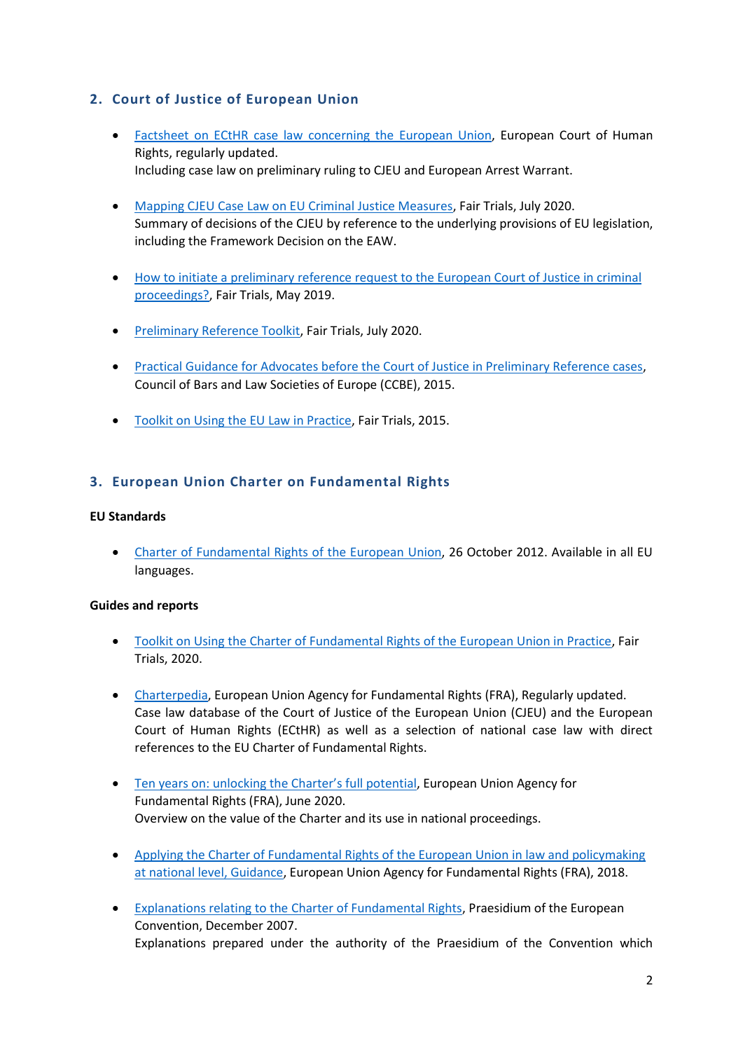## <span id="page-2-0"></span>**2. Court of Justice of European Union**

- [Factsheet on ECtHR case law concerning the European Union,](https://www.echr.coe.int/Documents/FS_European_Union_ENG.pdf) European Court of Human Rights, regularly updated. Including case law on preliminary ruling to CJEU and European Arrest Warrant.
- [Mapping CJEU Case Law on EU Criminal Justice Measures,](https://www.fairtrials.org/sites/default/files/FT-Mapping-CJEU-Case-Law.pdf) Fair Trials, July 2020. Summary of decisions of the CJEU by reference to the underlying provisions of EU legislation, including the Framework Decision on the EAW.
- [How to initiate a preliminary reference request to the European Court of Justice in criminal](https://fairtrials.org/sites/default/files/Fair-Trials-presentation-ECBA.pdf)  [proceedings?,](https://fairtrials.org/sites/default/files/Fair-Trials-presentation-ECBA.pdf) Fair Trials, May 2019.
- [Preliminary Reference Toolkit,](https://www.fairtrials.org/sites/default/files/FT-Toolkit-on-CJEU-preliminary-reference.pdf) Fair Trials, July 2020.
- [Practical Guidance for Advocates before the Court of Justice in Preliminary Reference cases,](https://www.ccbe.eu/fileadmin/speciality_distribution/public/documents/PD_LUX/PDL_Guides___recommendations/EN_PDL_20150909_Practical-Guidance-for-Advocates-before-the-Court-of-Justice-in-Preliminary-Reference-cases.pdf) Council of Bars and Law Societies of Europe (CCBE), 2015.
- [Toolkit on Using the EU Law in Practice,](https://www.fairtrials.org/sites/default/files/publication_pdf/Using%20EU%20law%20Toolkit.pdf) Fair Trials, 2015.

## <span id="page-2-1"></span>**3. European Union Charter on Fundamental Rights**

#### **EU Standards**

 [Charter of Fundamental Rights of the European Union,](https://eur-lex.europa.eu/legal-content/EN/TXT/?uri=celex:12012P/TXT) 26 October 2012. Available in all EU languages.

- [Toolkit on Using the Charter of Fundamental Rights of the European Union in Practice,](https://www.fairtrials.org/sites/default/files/FT-Toolkit-on-EU-Charter.pdf) Fair Trials, 2020.
- [Charterpedia,](https://fra.europa.eu/en/case-law-database) European Union Agency for Fundamental Rights (FRA), Regularly updated. Case law database of the Court of Justice of the European Union (CJEU) and the European Court of Human Rights (ECtHR) as well as a selection of national case law with direct references to the EU Charter of Fundamental Rights.
- [Ten years on: unlocking the Charter's full potential](https://fra.europa.eu/en/publication/2020/ten-years-unlocking-charters-full-potential), European Union Agency for Fundamental Rights (FRA), June 2020. Overview on the value of the Charter and its use in national proceedings.
- [Applying the Charter of Fundamental Rights of the European Union in law and policymaking](https://fra.europa.eu/sites/default/files/fra_uploads/fra-2018-charter-guidance_en.pdf)  [at national level, Guidance,](https://fra.europa.eu/sites/default/files/fra_uploads/fra-2018-charter-guidance_en.pdf) European Union Agency for Fundamental Rights (FRA), 2018.
- [Explanations relating to the Charter of Fundamental Rights,](https://eur-lex.europa.eu/legal-content/EN/TXT/?uri=CELEX%3A32007X1214%2801%29) Praesidium of the European Convention, December 2007. Explanations prepared under the authority of the Praesidium of the Convention which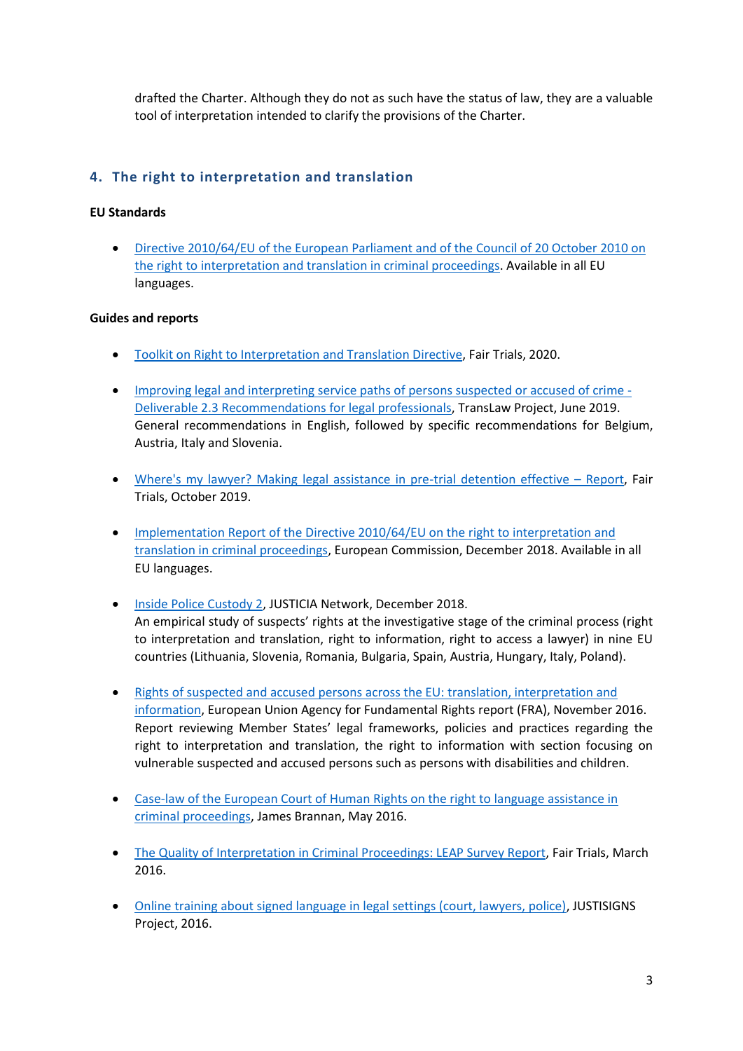drafted the Charter. Although they do not as such have the status of law, they are a valuable tool of interpretation intended to clarify the provisions of the Charter.

## <span id="page-3-0"></span>**4. The right to interpretation and translation**

#### **EU Standards**

 [Directive 2010/64/EU of the European Parliament and of the Council of 20 October 2010 on](https://eur-lex.europa.eu/legal-content/EN/TXT/?qid=1594736104819&uri=CELEX:32010L0064)  [the right to interpretation and translation in criminal proceedings.](https://eur-lex.europa.eu/legal-content/EN/TXT/?qid=1594736104819&uri=CELEX:32010L0064) Available in all EU languages.

- [Toolkit on Right to Interpretation and](https://www.fairtrials.org/sites/default/files/FT-Toolkit-on-Right-to-Interpretation-and-Translation-Directive.pdf) Translation Directive, Fair Trials, 2020.
- [Improving legal and interpreting service paths of persons suspected or accused of crime -](https://www.arts.kuleuven.be/tolkwetenschap/projecten/translaw/5-recommendations-translaw.pdf) [Deliverable 2.3 Recommendations for legal professionals,](https://www.arts.kuleuven.be/tolkwetenschap/projecten/translaw/5-recommendations-translaw.pdf) TransLaw Project, June 2019. General recommendations in English, followed by specific recommendations for Belgium, Austria, Italy and Slovenia.
- [Where's my lawyer? Making legal assistance in pre-trial detention effective](https://www.fairtrials.org/publication/wheres-my-lawyer)  Report, Fair Trials, October 2019.
- Implementation Report of the Directive 2010/64/EU on the right to interpretation and [translation in criminal proceedings,](https://eur-lex.europa.eu/legal-content/en/ALL/?uri=CELEX%3A52018DC0857) European Commission, December 2018. Available in all EU languages.
- **.** [Inside Police Custody 2,](https://www.fairtrials.org/sites/default/files/publication_pdf/Inside-Police-Custody-2-JUSTICIA-Comparative-Report.pdf) JUSTICIA Network, December 2018. An empirical study of suspects' rights at the investigative stage of the criminal process (right to interpretation and translation, right to information, right to access a lawyer) in nine EU countries (Lithuania, Slovenia, Romania, Bulgaria, Spain, Austria, Hungary, Italy, Poland).
- [Rights of suspected and accused persons across the EU: translation, interpretation and](https://fra.europa.eu/sites/default/files/fra_uploads/fra-2016-right-to-information-translation_en.pdf#page=65)  [information,](https://fra.europa.eu/sites/default/files/fra_uploads/fra-2016-right-to-information-translation_en.pdf#page=65) European Union Agency for Fundamental Rights report (FRA), November 2016. Report reviewing Member States' legal frameworks, policies and practices regarding the right to interpretation and translation, the right to information with section focusing on vulnerable suspected and accused persons such as persons with disabilities and children.
- [Case-law of the European Court of Human Rights on the right to language assistance in](https://eulita.eu/wp-content/uploads/files/ECHR%20Language_assistance_case-law_summaries.pdf)  [criminal proceedings,](https://eulita.eu/wp-content/uploads/files/ECHR%20Language_assistance_case-law_summaries.pdf) James Brannan, May 2016.
- [The Quality of Interpretation in Criminal Proceedings: LEAP Survey Report,](https://www.fairtrials.org/wp-content/uploads/LEAP-Interpretation-Report-Mar2016.pdf) Fair Trials, March 2016.
- [Online training about signed language in legal settings \(court, lawyers, police\),](http://justisigns.eu/JUSTISIGNS_Project/Partners.html) JUSTISIGNS Project, 2016.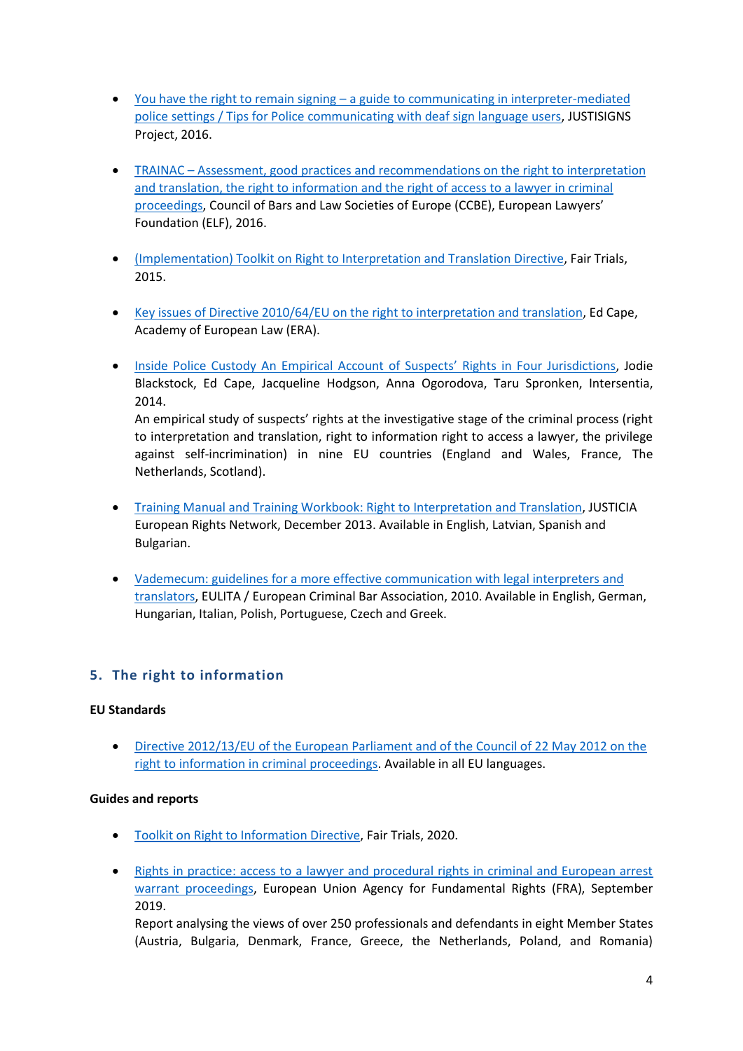- You have the right to remain signing [a guide to communicating in interpreter-mediated](http://justisigns.eu/JUSTISIGNS_Project/Results.html)  [police settings / Tips for Police communicating with deaf sign language users,](http://justisigns.eu/JUSTISIGNS_Project/Results.html) JUSTISIGNS Project, 2016.
- TRAINAC [Assessment, good practices and recommendations on the right to interpretation](https://www.ccbe.eu/fileadmin/speciality_distribution/public/documents/CRIMINAL_LAW/CRM_projects/EN_CRM_20160418_TRAINAC-An-assessment-by-defence-practitioners-of-the-implementation-of-three-procedural-safeguards-directives.pdf)  [and translation, the right to information and the right of access to a lawyer in criminal](https://www.ccbe.eu/fileadmin/speciality_distribution/public/documents/CRIMINAL_LAW/CRM_projects/EN_CRM_20160418_TRAINAC-An-assessment-by-defence-practitioners-of-the-implementation-of-three-procedural-safeguards-directives.pdf)  [proceedings](https://www.ccbe.eu/fileadmin/speciality_distribution/public/documents/CRIMINAL_LAW/CRM_projects/EN_CRM_20160418_TRAINAC-An-assessment-by-defence-practitioners-of-the-implementation-of-three-procedural-safeguards-directives.pdf), Council of Bars and Law Societies of Europe (CCBE), European Lawyers' Foundation (ELF), 2016.
- [\(Implementation\) Toolkit on Right to Interpretation and](https://www.fairtrials.org/sites/default/files/publication_pdf/Access%20to%20Interpretation%20and%20Translation%20Toolkit.pdf) Translation Directive, Fair Trials, 2015.
- [Key issues of Directive 2010/64/EU on the right to interpretation and translation,](http://www.era-comm.eu/procedural_safeguards/kiosk/pdf/papers/1_Key_issues_of_the_right_to_interpretation_and_translation.pdf) Ed Cape, Academy of European Law (ERA).
- [Inside Police Custody An Empirical Account of Suspects' Rights in Four Jurisdictions](https://intersentia.be/nl/pdf/viewer/download/id/9781780681573_0/), Jodie Blackstock, Ed Cape, Jacqueline Hodgson, Anna Ogorodova, Taru Spronken, Intersentia, 2014.

An empirical study of suspects' rights at the investigative stage of the criminal process (right to interpretation and translation, right to information right to access a lawyer, the privilege against self-incrimination) in nine EU countries (England and Wales, France, The Netherlands, Scotland).

- [Training Manual and Training Workbook: Right to Interpretation and Translation,](http://eujusticia.net/index.php/proceduralrights/category/right-to-interpretation-and-translation-measure-a/submissions-and-publications1) JUSTICIA European Rights Network, December 2013. Available in English, Latvian, Spanish and Bulgarian.
- Vademecum: guidelines for a more effective communication with legal interpreters and [translators,](https://eulita.eu/relevant-documents/) EULITA / European Criminal Bar Association, 2010. Available in English, German, Hungarian, Italian, Polish, Portuguese, Czech and Greek.

## <span id="page-4-0"></span>**5. The right to information**

#### **EU Standards**

 [Directive 2012/13/EU of the European Parliament and of the Council of 22 May 2012 on the](https://eur-lex.europa.eu/legal-content/EN/TXT/?qid=1594736177085&uri=CELEX:32012L0013)  [right to information in criminal proceedings.](https://eur-lex.europa.eu/legal-content/EN/TXT/?qid=1594736177085&uri=CELEX:32012L0013) Available in all EU languages.

#### **Guides and reports**

- [Toolkit on Right to Information Directive,](https://www.fairtrials.org/sites/default/files/FT-Toolkit-on-Right-to-Info-Directive.pdf) Fair Trials, 2020.
- Rights in practice: access to a lawyer and procedural rights in criminal and European arrest [warrant proceedings,](https://fra.europa.eu/en/publication/2019/rights-practice-access-lawyer-and-procedural-rights-criminal-and-european-arrest) European Union Agency for Fundamental Rights (FRA), September 2019.

Report analysing the views of over 250 professionals and defendants in eight Member States (Austria, Bulgaria, Denmark, France, Greece, the Netherlands, Poland, and Romania)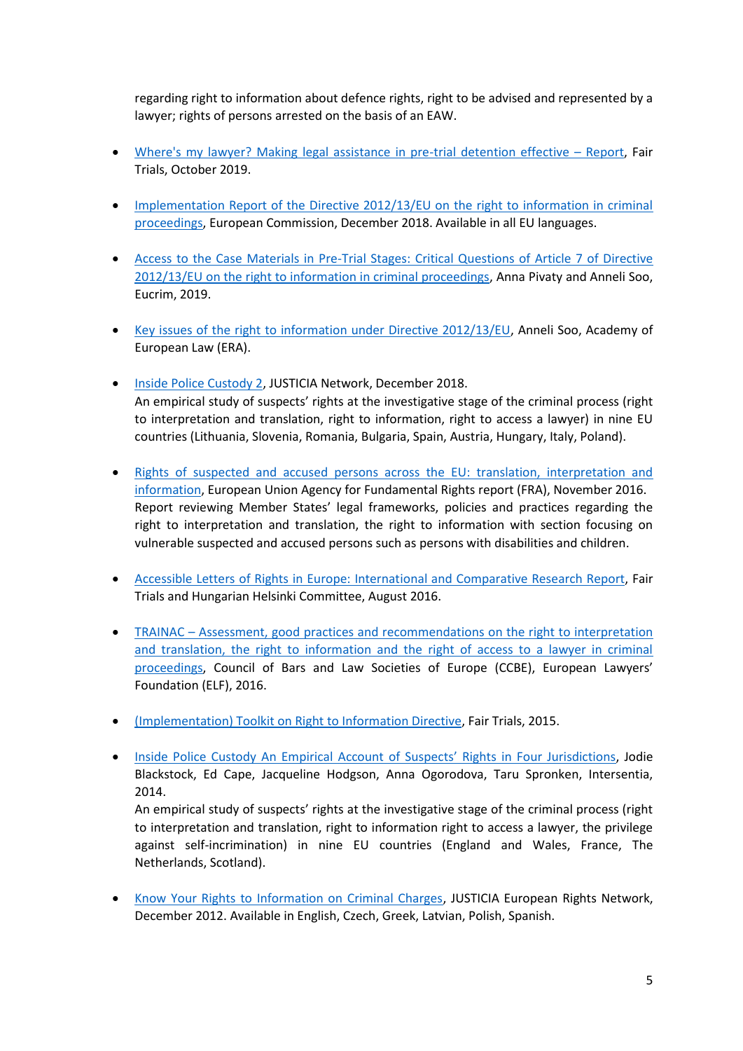regarding right to information about defence rights, right to be advised and represented by a lawyer; rights of persons arrested on the basis of an EAW.

- [Where's my lawyer? Making legal assistance in pre-trial detention effective](https://www.fairtrials.org/publication/wheres-my-lawyer)  Report, Fair Trials, October 2019.
- Implementation Report of the Directive 2012/13/EU on the right to information in criminal [proceedings,](https://eur-lex.europa.eu/legal-content/en/TXT/?uri=CELEX:52018DC0858) European Commission, December 2018. Available in all EU languages.
- [Access to the Case Materials in Pre-Trial Stages: Critical Questions of Article 7 of Directive](https://eucrim.eu/articles/access-case-materials-pre-trial-stages/)  [2012/13/EU on the right to information in criminal proceedings,](https://eucrim.eu/articles/access-case-materials-pre-trial-stages/) Anna Pivaty and Anneli Soo, Eucrim, 2019.
- [Key issues of the right to information under Directive 2012/13/EU,](http://www.era-comm.eu/procedural_safeguards/kiosk/pdf/papers/5_Key_issues_of_the_right_to_information.pdf) Anneli Soo, Academy of European Law (ERA).
- **[Inside Police Custody 2,](https://www.fairtrials.org/sites/default/files/publication_pdf/Inside-Police-Custody-2-JUSTICIA-Comparative-Report.pdf) JUSTICIA Network, December 2018.** An empirical study of suspects' rights at the investigative stage of the criminal process (right to interpretation and translation, right to information, right to access a lawyer) in nine EU countries (Lithuania, Slovenia, Romania, Bulgaria, Spain, Austria, Hungary, Italy, Poland).
- Rights of suspected and accused persons across the EU: translation, interpretation and [information,](https://fra.europa.eu/sites/default/files/fra_uploads/fra-2016-right-to-information-translation_en.pdf#page=65) European Union Agency for Fundamental Rights report (FRA), November 2016. Report reviewing Member States' legal frameworks, policies and practices regarding the right to interpretation and translation, the right to information with section focusing on vulnerable suspected and accused persons such as persons with disabilities and children.
- [Accessible Letters of Rights in Europe: International and Comparative Research Report,](https://www.fairtrials.org/wp-content/uploads/2017/05/Letters-of-Rights-International-and-Comparative-Law-Research-Report.pdf) Fair Trials and Hungarian Helsinki Committee, August 2016.
- TRAINAC [Assessment, good practices and recommendations on the right to interpretation](https://www.ccbe.eu/fileadmin/speciality_distribution/public/documents/CRIMINAL_LAW/CRM_projects/EN_CRM_20160418_TRAINAC-An-assessment-by-defence-practitioners-of-the-implementation-of-three-procedural-safeguards-directives.pdf)  [and translation, the right to information and the right of access to a lawyer in criminal](https://www.ccbe.eu/fileadmin/speciality_distribution/public/documents/CRIMINAL_LAW/CRM_projects/EN_CRM_20160418_TRAINAC-An-assessment-by-defence-practitioners-of-the-implementation-of-three-procedural-safeguards-directives.pdf)  [proceedings](https://www.ccbe.eu/fileadmin/speciality_distribution/public/documents/CRIMINAL_LAW/CRM_projects/EN_CRM_20160418_TRAINAC-An-assessment-by-defence-practitioners-of-the-implementation-of-three-procedural-safeguards-directives.pdf), Council of Bars and Law Societies of Europe (CCBE), European Lawyers' Foundation (ELF), 2016.
- [\(Implementation\) Toolkit on Right to Information Directive,](https://www.fairtrials.org/sites/default/files/publication_pdf/Access%20to%20Interpretation%20and%20Translation%20Toolkit.pdf) Fair Trials, 2015.
- [Inside Police Custody An Empirical Account of Suspects' Rights in Four Jurisdictions](https://intersentia.be/nl/pdf/viewer/download/id/9781780681573_0/), Jodie Blackstock, Ed Cape, Jacqueline Hodgson, Anna Ogorodova, Taru Spronken, Intersentia, 2014.

An empirical study of suspects' rights at the investigative stage of the criminal process (right to interpretation and translation, right to information right to access a lawyer, the privilege against self-incrimination) in nine EU countries (England and Wales, France, The Netherlands, Scotland).

 [Know Your Rights to Information on Criminal Charges,](http://eujusticia.net/index.php/proceduralrights/category/right-to-information-measure-b/submissions-publications) JUSTICIA European Rights Network, December 2012. Available in English, Czech, Greek, Latvian, Polish, Spanish.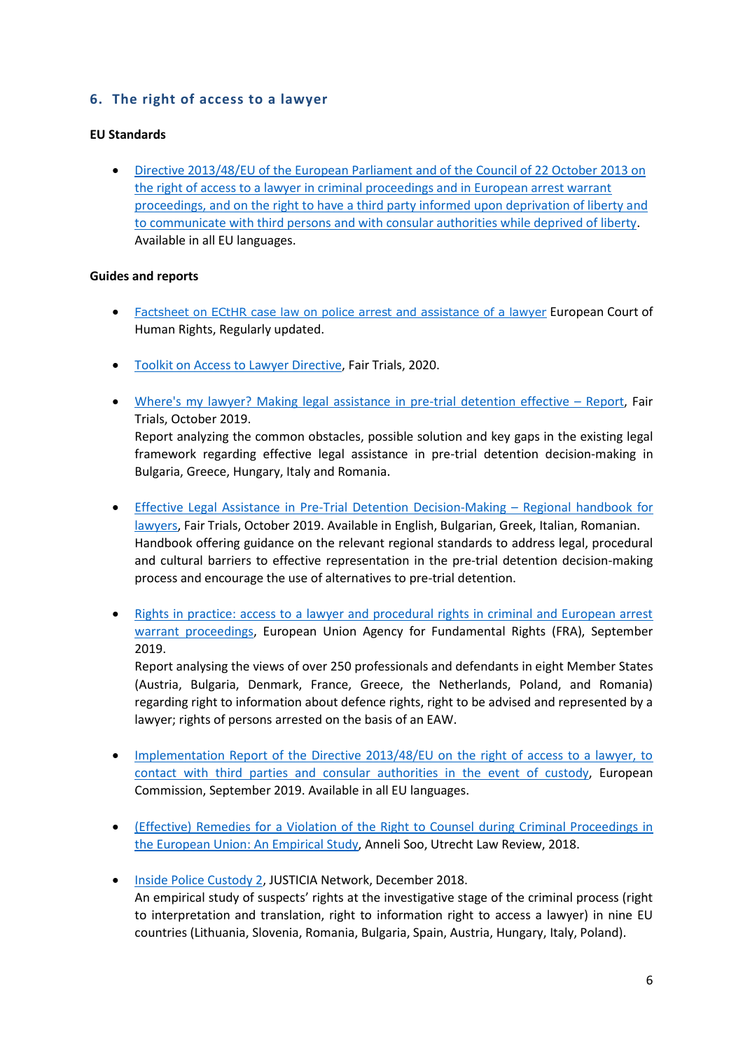## <span id="page-6-0"></span>**6. The right of access to a lawyer**

#### **EU Standards**

 [Directive 2013/48/EU of the European Parliament and of the Council of 22 October 2013 on](https://eur-lex.europa.eu/legal-content/EN/TXT/?qid=1594736508968&uri=CELEX:32013L0048)  [the right of access to a lawyer in criminal proceedings and in European arrest warrant](https://eur-lex.europa.eu/legal-content/EN/TXT/?qid=1594736508968&uri=CELEX:32013L0048)  [proceedings, and on the right to have a third party informed upon deprivation of liberty and](https://eur-lex.europa.eu/legal-content/EN/TXT/?qid=1594736508968&uri=CELEX:32013L0048)  [to communicate with third persons and with consular authorities while deprived of liberty.](https://eur-lex.europa.eu/legal-content/EN/TXT/?qid=1594736508968&uri=CELEX:32013L0048) Available in all EU languages.

#### **Guides and reports**

- [Factsheet on ECtHR case law on police arrest and assistance of a lawyer](https://www.echr.coe.int/Documents/FS_Police_arrest_ENG.pdf) European Court of Human Rights, Regularly updated.
- [Toolkit on Access to Lawyer Directive,](https://www.fairtrials.org/sites/default/files/FT-Toolkit-on-Access-to-Lawyer-Directive.pdf) Fair Trials, 2020.
- Where's my [lawyer? Making legal assistance in pre-trial detention effective](https://www.fairtrials.org/publication/wheres-my-lawyer)  Report, Fair Trials, October 2019. Report analyzing the common obstacles, possible solution and key gaps in the existing legal framework regarding effective legal assistance in pre-trial detention decision-making in Bulgaria, Greece, Hungary, Italy and Romania.
- [Effective Legal Assistance in Pre-Trial Detention Decision-Making](https://www.fairtrials.org/publication/legal-assistance-pretrial-detention-handbook)  Regional handbook for [lawyers,](https://www.fairtrials.org/publication/legal-assistance-pretrial-detention-handbook) Fair Trials, October 2019. Available in English, Bulgarian, Greek, Italian, Romanian. Handbook offering guidance on the relevant regional standards to address legal, procedural and cultural barriers to effective representation in the pre-trial detention decision-making process and encourage the use of alternatives to pre-trial detention.
- Rights in practice: access to a lawyer and procedural rights in criminal and European arrest [warrant proceedings,](https://fra.europa.eu/en/publication/2019/rights-practice-access-lawyer-and-procedural-rights-criminal-and-european-arrest) European Union Agency for Fundamental Rights (FRA), September 2019.

Report analysing the views of over 250 professionals and defendants in eight Member States (Austria, Bulgaria, Denmark, France, Greece, the Netherlands, Poland, and Romania) regarding right to information about defence rights, right to be advised and represented by a lawyer; rights of persons arrested on the basis of an EAW.

- Implementation Report of the Directive 2013/48/EU on the right of access to a lawyer, to [contact with third parties and consular authorities in the event of custody,](https://ec.europa.eu/info/sites/info/files/implementation_report_on_the_eu_directive_on_access_to_a_lawyer.pdf) European Commission, September 2019. Available in all EU languages.
- [\(Effective\) Remedies for a Violation of the Right to Counsel during Criminal Proceedings in](https://www.utrechtlawreview.org/articles/abstract/10.18352/ulr.418/)  [the European Union: An Empirical Study,](https://www.utrechtlawreview.org/articles/abstract/10.18352/ulr.418/) Anneli Soo, Utrecht Law Review, 2018.
- **[Inside Police Custody 2,](https://www.fairtrials.org/sites/default/files/publication_pdf/Inside-Police-Custody-2-JUSTICIA-Comparative-Report.pdf) JUSTICIA Network, December 2018.** An empirical study of suspects' rights at the investigative stage of the criminal process (right to interpretation and translation, right to information right to access a lawyer) in nine EU countries (Lithuania, Slovenia, Romania, Bulgaria, Spain, Austria, Hungary, Italy, Poland).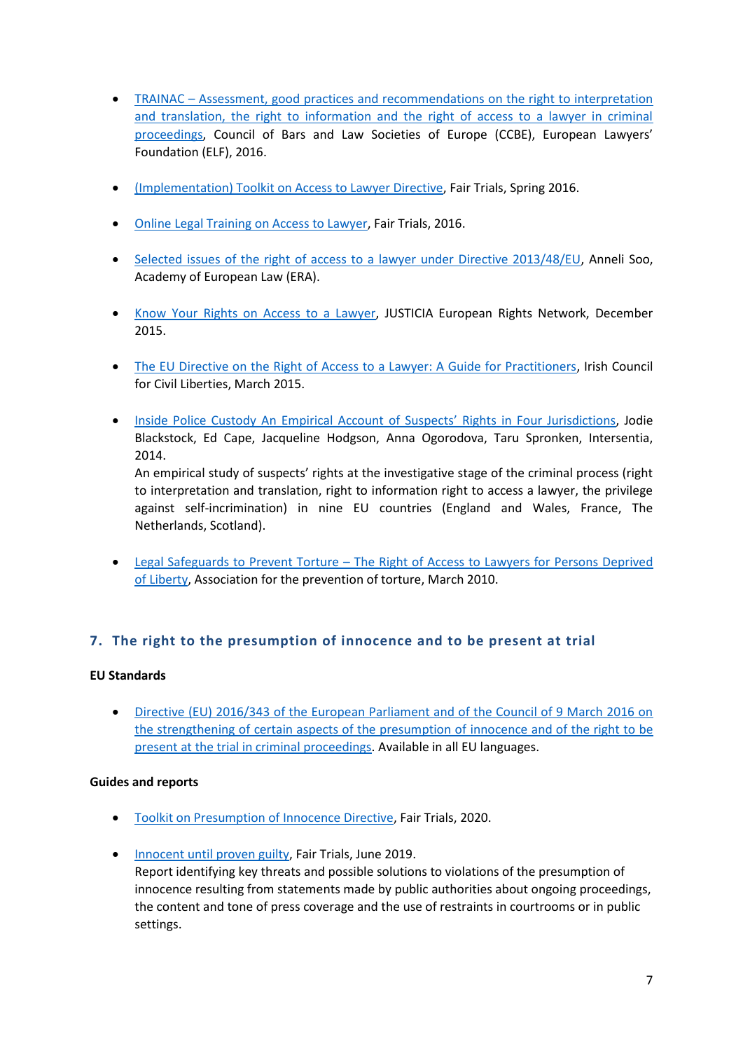- TRAINAC [Assessment, good practices and recommendations on the right to interpretation](https://www.ccbe.eu/fileadmin/speciality_distribution/public/documents/CRIMINAL_LAW/CRM_projects/EN_CRM_20160418_TRAINAC-An-assessment-by-defence-practitioners-of-the-implementation-of-three-procedural-safeguards-directives.pdf)  [and translation, the right to information and the right of access to a lawyer in criminal](https://www.ccbe.eu/fileadmin/speciality_distribution/public/documents/CRIMINAL_LAW/CRM_projects/EN_CRM_20160418_TRAINAC-An-assessment-by-defence-practitioners-of-the-implementation-of-three-procedural-safeguards-directives.pdf)  [proceedings,](https://www.ccbe.eu/fileadmin/speciality_distribution/public/documents/CRIMINAL_LAW/CRM_projects/EN_CRM_20160418_TRAINAC-An-assessment-by-defence-practitioners-of-the-implementation-of-three-procedural-safeguards-directives.pdf) Council of Bars and Law Societies of Europe (CCBE), European Lawyers' Foundation (ELF), 2016.
- [\(Implementation\) Toolkit on Access to Lawyer Directive,](https://www.fairtrials.org/sites/default/files/A2L%20Toolkit%20FINAL.pdf) Fair Trials, Spring 2016.
- [Online Legal Training on Access to Lawyer,](https://www.fairtrials.org/legal-training?access-to-a-lawyer) Fair Trials, 2016.
- [Selected issues of the right of access to a lawyer under Directive 2013/48/EU,](http://www.era-comm.eu/procedural_safeguards/kiosk/pdf/papers/4_Key_issues_of_the_right_to_access_to_a_lawyer.pdf) Anneli Soo, Academy of European Law (ERA).
- [Know Your Rights on Access to a Lawyer,](http://eujusticia.net/images/uploads/pdf/Know_Your_Rights_on_Access_to_a_Lawyer.pdf) JUSTICIA European Rights Network, December 2015.
- [The EU Directive on the Right of Access to a Lawyer: A Guide for Practitioners,](http://eujusticia.net/images/uploads/pdf/Practitioners_Guide.pdf) Irish Council for Civil Liberties, March 2015.
- [Inside Police Custody An Empirical Account of Suspects' Rights in Four Jurisdictions](https://intersentia.be/nl/pdf/viewer/download/id/9781780681573_0/), Jodie Blackstock, Ed Cape, Jacqueline Hodgson, Anna Ogorodova, Taru Spronken, Intersentia, 2014.

An empirical study of suspects' rights at the investigative stage of the criminal process (right to interpretation and translation, right to information right to access a lawyer, the privilege against self-incrimination) in nine EU countries (England and Wales, France, The Netherlands, Scotland).

 Legal Safeguards to Prevent Torture – [The Right of Access to Lawyers for Persons Deprived](https://www.apt.ch/sites/default/files/publications/LegalBriefing2_Lawyers.pdf)  [of Liberty,](https://www.apt.ch/sites/default/files/publications/LegalBriefing2_Lawyers.pdf) Association for the prevention of torture, March 2010.

## <span id="page-7-0"></span>**7. The right to the presumption of innocence and to be present at trial**

#### **EU Standards**

 [Directive \(EU\) 2016/343 of the European Parliament and of the Council of 9 March 2016 on](https://eur-lex.europa.eu/legal-content/EN/TXT/?qid=1594737138376&uri=CELEX:32016L0343)  [the strengthening of certain aspects of the presumption of innocence and of the right to be](https://eur-lex.europa.eu/legal-content/EN/TXT/?qid=1594737138376&uri=CELEX:32016L0343)  [present at the trial in criminal proceedings.](https://eur-lex.europa.eu/legal-content/EN/TXT/?qid=1594737138376&uri=CELEX:32016L0343) Available in all EU languages.

- [Toolkit on Presumption of Innocence Directive,](https://www.fairtrials.org/sites/default/files/FT-Toolkit-on-Presumption-of-Innocence-Directive.pdf) Fair Trials, 2020.
- [Innocent until proven guilty,](https://www.fairtrials.org/publication/innocent-until-proven-guilty-0) Fair Trials, June 2019. Report identifying key threats and possible solutions to violations of the presumption of innocence resulting from statements made by public authorities about ongoing proceedings, the content and tone of press coverage and the use of restraints in courtrooms or in public settings.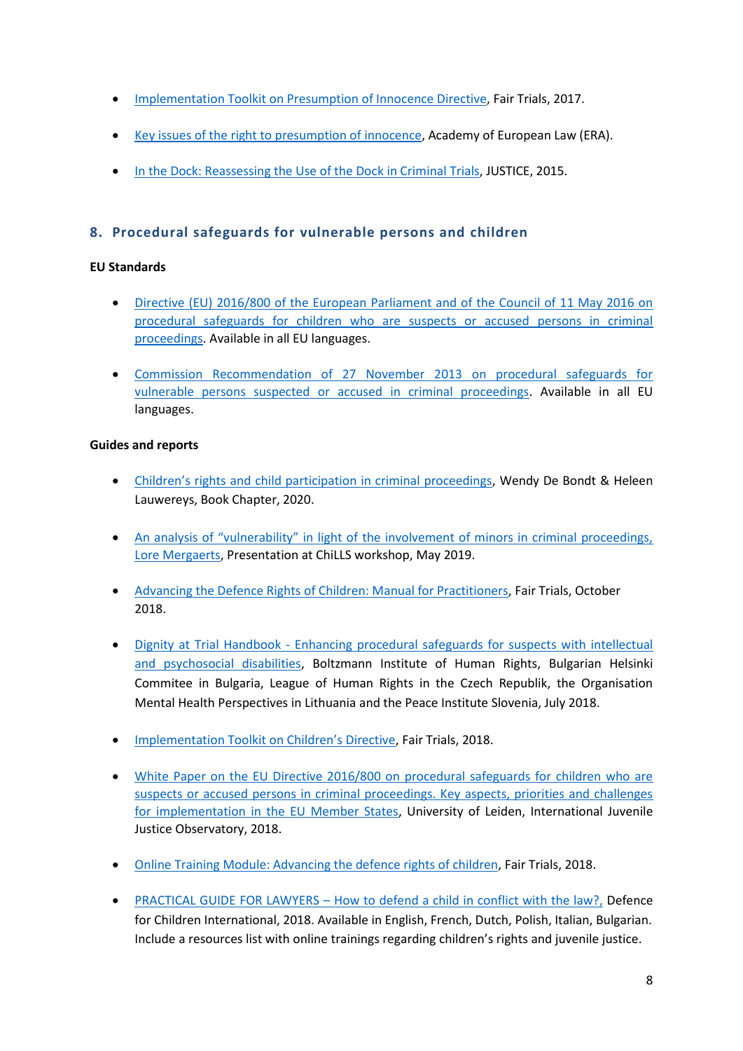- **•** [Implementation Toolkit on Presumption of Innocence Directive,](https://www.fairtrials.org/wp-content/uploads/2017/06/Presumption-of-Innocence-Toolkit_2.pdf) Fair Trials, 2017.
- [Key issues of the right to presumption of innocence,](http://www.era-comm.eu/procedural_safeguards/kiosk/pdf/papers/3_Key_issues_of_the_right_to_presumption_of_innocence.pdf) Academy of European Law (ERA).
- [In the Dock: Reassessing the Use of the Dock in Criminal Trials,](https://www.fairtrials.org/sites/default/files/publication_pdf/Fair-Trials-Innocent%20until-proven-guilty-The-presentation-of-suspects-in-criminal-proceedings_0_0.pdf) JUSTICE, 2015.

### <span id="page-8-0"></span>**8. Procedural safeguards for vulnerable persons and children**

#### **EU Standards**

- [Directive \(EU\) 2016/800 of the European Parliament and of the Council of 11 May 2016 on](https://eur-lex.europa.eu/legal-content/EN/TXT/?qid=1594736399292&uri=CELEX:32016L0800)  [procedural safeguards for children who are suspects or accused persons in criminal](https://eur-lex.europa.eu/legal-content/EN/TXT/?qid=1594736399292&uri=CELEX:32016L0800)  [proceedings.](https://eur-lex.europa.eu/legal-content/EN/TXT/?qid=1594736399292&uri=CELEX:32016L0800) Available in all EU languages.
- [Commission Recommendation of 27 November 2013 on procedural safeguards for](https://eur-lex.europa.eu/legal-content/EN/ALL/?uri=CELEX:32013H1224(02))  [vulnerable persons suspected or accused in criminal proceedings.](https://eur-lex.europa.eu/legal-content/EN/ALL/?uri=CELEX:32013H1224(02)) Available in all EU languages.

- [Children's rights and child participation in criminal proceedings](http://www.era-comm.eu/applying-procedural-rights-in-the-EU/pdf/De_Bondt_Lauwereys_child_participation.pdf), Wendy De Bondt & Heleen Lauwereys, Book Chapter, 2020.
- [An analysis of "vulnerability" in light of the involvement of minors in criminal proceedings,](https://www.arts.kuleuven.be/tolkwetenschap/projecten/chills/ppt-chills-workshop-14-05-2019-lore-mergaerts-eng.pdf)  [Lore Mergaerts,](https://www.arts.kuleuven.be/tolkwetenschap/projecten/chills/ppt-chills-workshop-14-05-2019-lore-mergaerts-eng.pdf) Presentation at ChiLLS workshop, May 2019.
- [Advancing the Defence Rights of Children: Manual for Practitioners,](https://fairtrials.org/publication/advancing-defence-rights-children) Fair Trials, October 2018.
- Dignity at Trial Handbook [Enhancing procedural safeguards for suspects with intellectual](https://bim.lbg.ac.at/sites/files/bim/attachments/04_handbook_dignity_at_trial.pdf)  [and psychosocial disabilities,](https://bim.lbg.ac.at/sites/files/bim/attachments/04_handbook_dignity_at_trial.pdf) Boltzmann Institute of Human Rights, Bulgarian Helsinki Commitee in Bulgaria, League of Human Rights in the Czech Republik, the Organisation Mental Health Perspectives in Lithuania and the Peace Institute Slovenia, July 2018.
- **•** [Implementation Toolkit on Children's Directive](https://www.fairtrials.org/sites/default/files/publication_pdf/Children%20Directive%20Toolkit.pdf), Fair Trials, 2018.
- [White Paper on the EU Directive 2016/800 on procedural safeguards for children who are](https://openaccess.leidenuniv.nl/bitstream/handle/1887/64263/WP_13-06-2018.pdf?sequence=1)  [suspects or accused persons in criminal proceedings. Key aspects, priorities and challenges](https://openaccess.leidenuniv.nl/bitstream/handle/1887/64263/WP_13-06-2018.pdf?sequence=1)  [for implementation in the EU Member States,](https://openaccess.leidenuniv.nl/bitstream/handle/1887/64263/WP_13-06-2018.pdf?sequence=1) University of Leiden, International Juvenile Justice Observatory, 2018.
- [Online Training Module: Advancing the defence rights of children,](https://www.fairtrials.org/legal-training#advancing-the-defence-rights-of-children) Fair Trials, 2018.
- PRACTICAL GUIDE FOR LAWYERS [How to defend a child in conflict with the law?,](http://www.mylawyermyrights.eu/manuals/) Defence for Children International, 2018. Available in English, French, Dutch, Polish, Italian, Bulgarian. Include a resources list with online trainings regarding children's rights and juvenile justice.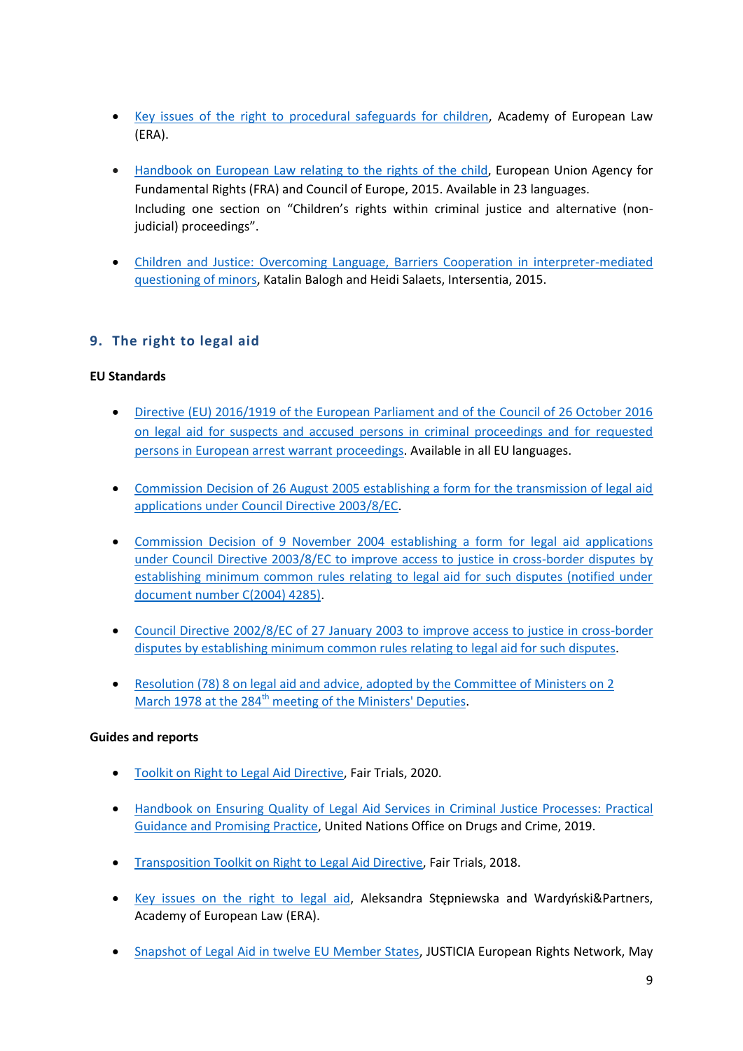- [Key issues of the right to procedural safeguards for children,](http://www.era-comm.eu/procedural_safeguards/kiosk/pdf/papers/2_Key_issues_of_the_right_to_procedural_safeguards_for_children.pdf) Academy of European Law (ERA).
- [Handbook on European Law relating to the rights of the child,](https://www.echr.coe.int/Documents/Handbook_rights_child_ENG.PDF) European Union Agency for Fundamental Rights (FRA) and Council of Europe, 2015. Available in 23 languages. Including one section on "Children's rights within criminal justice and alternative (nonjudicial) proceedings".
- [Children and Justice: Overcoming Language, Barriers Cooperation in interpreter-mediated](https://www.arts.kuleuven.be/tolkwetenschap/projecten/co_minor_in_quest/children-and-justice)  [questioning of minors,](https://www.arts.kuleuven.be/tolkwetenschap/projecten/co_minor_in_quest/children-and-justice) Katalin Balogh and Heidi Salaets, Intersentia, 2015.

## <span id="page-9-0"></span>**9. The right to legal aid**

#### **EU Standards**

- [Directive \(EU\) 2016/1919 of the European Parliament and of the Council of 26 October 2016](https://eur-lex.europa.eu/legal-content/EN/TXT/?qid=1594737210620&uri=CELEX:32016L1919)  [on legal aid for suspects and accused persons in criminal proceedings and for requested](https://eur-lex.europa.eu/legal-content/EN/TXT/?qid=1594737210620&uri=CELEX:32016L1919)  [persons in European arrest warrant proceedings.](https://eur-lex.europa.eu/legal-content/EN/TXT/?qid=1594737210620&uri=CELEX:32016L1919) Available in all EU languages.
- [Commission Decision of 26 August 2005 establishing a form for the transmission of legal aid](https://eur-lex.europa.eu/legal-content/EN/TXT/?uri=CELEX%3A32005D0630)  [applications under Council Directive 2003/8/EC.](https://eur-lex.europa.eu/legal-content/EN/TXT/?uri=CELEX%3A32005D0630)
- Commission Decision of 9 [November 2004 establishing a form for legal aid applications](https://eur-lex.europa.eu/legal-content/EN/TXT/?uri=celex%3A32004D0844)  [under Council Directive 2003/8/EC to improve access to justice in cross-border disputes by](https://eur-lex.europa.eu/legal-content/EN/TXT/?uri=celex%3A32004D0844)  [establishing minimum common rules relating to legal aid for such disputes \(notified under](https://eur-lex.europa.eu/legal-content/EN/TXT/?uri=celex%3A32004D0844)  [document number C\(2004\) 4285\).](https://eur-lex.europa.eu/legal-content/EN/TXT/?uri=celex%3A32004D0844)
- [Council Directive 2002/8/EC of 27 January 2003 to improve access to justice in cross-border](https://eur-lex.europa.eu/legal-content/EN/ALL/?uri=CELEX:32003L0008)  [disputes by establishing minimum common rules relating to](https://eur-lex.europa.eu/legal-content/EN/ALL/?uri=CELEX:32003L0008) legal aid for such disputes.
- [Resolution \(78\) 8 on legal aid and advice, adopted by the Committee of Ministers on 2](https://rm.coe.int/16804e2bb2)  March 1978 at the 284<sup>th</sup> [meeting of the Ministers' Deputies.](https://rm.coe.int/16804e2bb2)

- Toolkit on Right to [Legal Aid Directive,](https://www.fairtrials.org/sites/default/files/FT-Toolkit-on-Legal-Aid-Directive.pdf) Fair Trials, 2020.
- [Handbook on Ensuring Quality of Legal Aid Services in Criminal Justice Processes: Practical](https://www.unodc.org/documents/justice-and-prison-reform/HB_Ensuring_Quality_Legal_Aid_Services.pdf)  [Guidance and Promising Practice,](https://www.unodc.org/documents/justice-and-prison-reform/HB_Ensuring_Quality_Legal_Aid_Services.pdf) United Nations Office on Drugs and Crime, 2019.
- Transposition Toolkit on Right to [Legal Aid Directive,](https://www.fairtrials.org/sites/default/files/publication_pdf/Legal%20Aid%20Directive%20Toolkit.pdf) Fair Trials, 2018.
- [Key issues on the right to legal aid](http://www.era-comm.eu/procedural_safeguards/kiosk/pdf/papers/6_Key_issues_on_the_right_to_legal_aid.pdf), Aleksandra Stępniewska and Wardyński&Partners, Academy of European Law (ERA).
- [Snapshot of Legal Aid in twelve EU Member States,](http://eujusticia.net/images/uploads/pdf/Legal_Aid_Factsheets_12_EU_Countries_(Final).pdf) JUSTICIA European Rights Network, May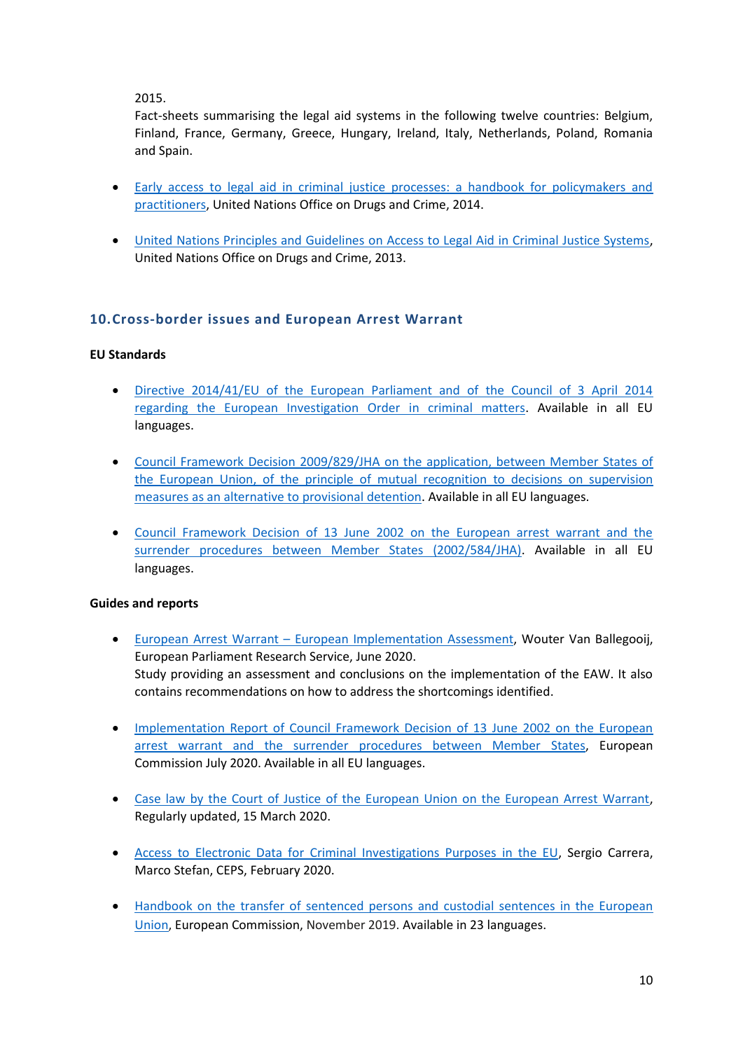2015.

Fact-sheets summarising the legal aid systems in the following twelve countries: Belgium, Finland, France, Germany, Greece, Hungary, Ireland, Italy, Netherlands, Poland, Romania and Spain.

- [Early access to legal aid in criminal justice processes: a handbook for policymakers and](https://www.unodc.org/documents/justice-and-prison-reform/eBook-early_access_to_legal_aid.pdf)  [practitioners,](https://www.unodc.org/documents/justice-and-prison-reform/eBook-early_access_to_legal_aid.pdf) United Nations Office on Drugs and Crime, 2014.
- [United Nations Principles and Guidelines on Access to Legal Aid in Criminal Justice Systems,](https://www.unodc.org/documents/justice-and-prison-reform/UN_principles_and_guidlines_on_access_to_legal_aid.pdf) United Nations Office on Drugs and Crime, 2013.

## <span id="page-10-0"></span>**10.Cross-border issues and European Arrest Warrant**

#### **EU Standards**

- [Directive 2014/41/EU of the European Parliament and of the Council of 3 April 2014](https://eur-lex.europa.eu/legal-content/EN/TXT/?uri=celex%3A32014L0041)  [regarding the European Investigation Order in criminal matters.](https://eur-lex.europa.eu/legal-content/EN/TXT/?uri=celex%3A32014L0041) Available in all EU languages.
- [Council Framework Decision 2009/829/JHA on the application, between Member States of](https://eur-lex.europa.eu/legal-content/EN/TXT/?uri=CELEX:32009F0829)  [the European Union, of the principle of mutual recognition to decisions on supervision](https://eur-lex.europa.eu/legal-content/EN/TXT/?uri=CELEX:32009F0829)  [measures as an alternative to provisional detention.](https://eur-lex.europa.eu/legal-content/EN/TXT/?uri=CELEX:32009F0829) Available in all EU languages.
- [Council Framework Decision of 13 June 2002 on the European arrest warrant and the](https://eur-lex.europa.eu/legal-content/EN/TXT/?uri=CELEX:02002F0584-20090328)  [surrender procedures between Member States \(2002/584/JHA\).](https://eur-lex.europa.eu/legal-content/EN/TXT/?uri=CELEX:02002F0584-20090328) Available in all EU languages.

- European Arrest Warrant [European Implementation Assessment,](https://www.europarl.europa.eu/thinktank/en/document.html?reference=EPRS_STU(2020)642839) Wouter Van Ballegooij, European Parliament Research Service, June 2020. Study providing an assessment and conclusions on the implementation of the EAW. It also contains recommendations on how to address the shortcomings identified.
- Implementation Report of Council Framework Decision of 13 June 2002 on the European [arrest warrant and the surrender procedures between Member States,](https://eur-lex.europa.eu/legal-content/EN/TXT/?uri=COM:2020:270:FIN) European Commission July 2020. Available in all EU languages.
- [Case law by the Court of Justice of the European Union on the European Arrest Warrant,](http://www.eurojust.europa.eu/press/News/News/Pages/2020/2020-05-08_EAWoverview.aspx) Regularly updated, 15 March 2020.
- [Access to Electronic Data for Criminal Investigations Purposes in the EU,](https://www.ceps.eu/ceps-publications/access-to-electronic-data-for-criminal-investigations-purposes-in-the-eu/) Sergio Carrera, Marco Stefan, CEPS, February 2020.
- [Handbook on the transfer of sentenced persons and custodial sentences in the European](https://eur-lex.europa.eu/legal-content/EN/TXT/?uri=CELEX:52019XC1129(01))  [Union,](https://eur-lex.europa.eu/legal-content/EN/TXT/?uri=CELEX:52019XC1129(01)) European Commission, November 2019. Available in 23 languages.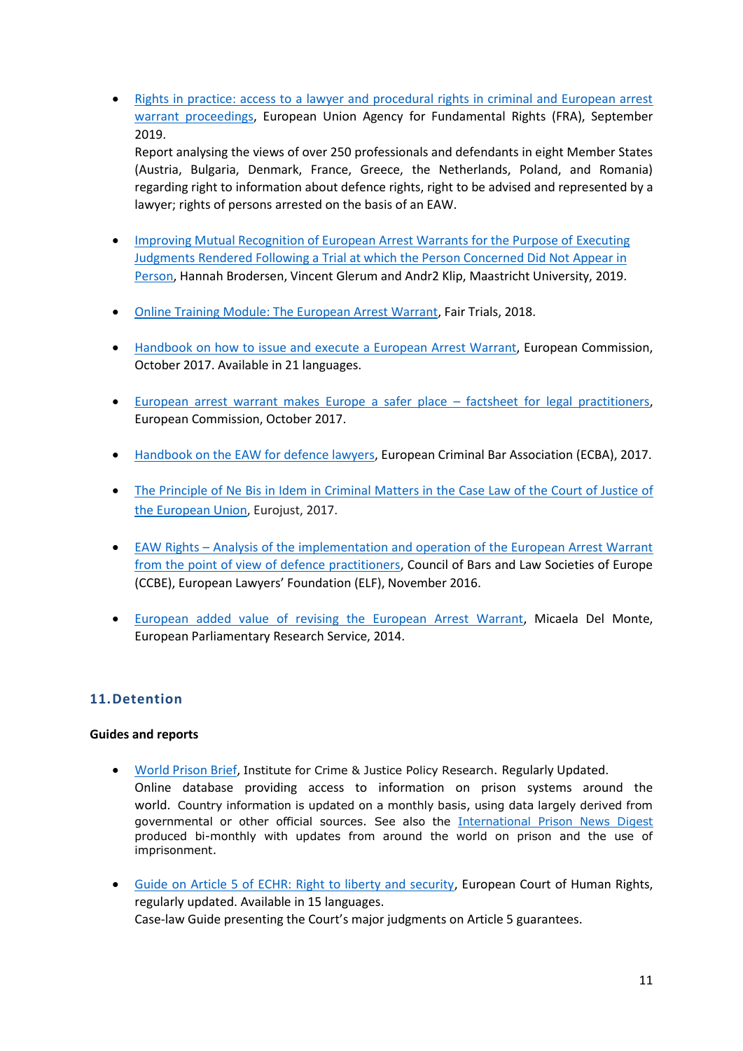• Rights in practice: access to a lawyer and procedural rights in criminal and European arrest [warrant proceedings,](https://fra.europa.eu/en/publication/2019/rights-practice-access-lawyer-and-procedural-rights-criminal-and-european-arrest) European Union Agency for Fundamental Rights (FRA), September 2019.

Report analysing the views of over 250 professionals and defendants in eight Member States (Austria, Bulgaria, Denmark, France, Greece, the Netherlands, Poland, and Romania) regarding right to information about defence rights, right to be advised and represented by a lawyer; rights of persons arrested on the basis of an EAW.

- **Improving Mutual Recognition of European Arrest Warrants for the Purpose of Executing** [Judgments Rendered Following a Trial at which the Person Concerned Did Not Appear in](https://www.inabsentieaw.eu/wp-content/uploads/2020/02/InAbsentiEAW-Research-Report-1.pdf)  [Person,](https://www.inabsentieaw.eu/wp-content/uploads/2020/02/InAbsentiEAW-Research-Report-1.pdf) Hannah Brodersen, Vincent Glerum and Andr2 Klip, Maastricht University, 2019.
- [Online Training Module: The European Arrest Warrant,](https://www.fairtrials.org/legal-training#cross-border-cases-and-human-rights) Fair Trials, 2018.
- [Handbook on how to issue and execute a European Arrest Warrant,](https://e-justice.europa.eu/content_european_arrest_warrant-90-en.do) European Commission, October 2017. Available in 21 languages.
- [European arrest warrant makes Europe a safer place](http://ec.europa.eu/newsroom/document.cfm?doc_id=46974)  factsheet for legal practitioners, European Commission, October 2017.
- [Handbook on the EAW for defence lawyers,](http://www.ecba-eaw.org/extdocserv/ECBA-Handbook-on-the-EAW-Palma-Edition-2017-v1-6.pdf) European Criminal Bar Association (ECBA), 2017.
- The [Principle](http://www.eurojust.europa.eu/doclibrary/Eurojust-framework/caselawanalysis/The%20principle%20of%20Ne%20Bis%20in%20Idem%20in%20criminal%20matters%20in%20the%20case%20law%20of%20the%20Court%20of%20Justice%20of%20the%20EU%20(Sept.%202017)/2017-09_CJEU-CaseLaw-NeBisInIdem_EN.pdf) of Ne Bis in Idem in Criminal Matters in the Case Law of the Court of Justice of the [European](http://www.eurojust.europa.eu/doclibrary/Eurojust-framework/caselawanalysis/The%20principle%20of%20Ne%20Bis%20in%20Idem%20in%20criminal%20matters%20in%20the%20case%20law%20of%20the%20Court%20of%20Justice%20of%20the%20EU%20(Sept.%202017)/2017-09_CJEU-CaseLaw-NeBisInIdem_EN.pdf) Union, Eurojust, 2017.
- EAW Rights [Analysis of the implementation and operation of the European Arrest Warrant](http://europeanlawyersfoundation.eu/wp-content/uploads/2016/11/EAW-FINAL-REPORT.pdf)  [from the point of view of defence practitioners,](http://europeanlawyersfoundation.eu/wp-content/uploads/2016/11/EAW-FINAL-REPORT.pdf) Council of Bars and Law Societies of Europe (CCBE), European Lawyers' Foundation (ELF), November 2016.
- [European added value of revising the European Arrest Warrant,](https://www.europarl.europa.eu/RegData/etudes/etudes/join/2013/510979/IPOL-JOIN_ET(2013)510979_EN.pdf) Micaela Del Monte, European Parliamentary Research Service, 2014.

## <span id="page-11-0"></span>**11.Detention**

- [World Prison Brief,](https://www.prisonstudies.org/world-prison-brief-data) Institute for Crime & Justice Policy Research. Regularly Updated. Online database providing access to information on prison systems around the world. Country information is updated on a monthly basis, using data largely derived from governmental or other official sources. See also the [International Prison News Digest](https://www.prisonstudies.org/research-publications?shs_term_node_tid_depth=51) produced bi-monthly with updates from around the world on prison and the use of imprisonment.
- [Guide on Article 5 of ECHR: Right to liberty and security,](https://www.echr.coe.int/Pages/home.aspx?p=caselaw/analysis/guides) European Court of Human Rights, regularly updated. Available in 15 languages. Case-law Guide presenting the Court's major judgments on Article 5 guarantees.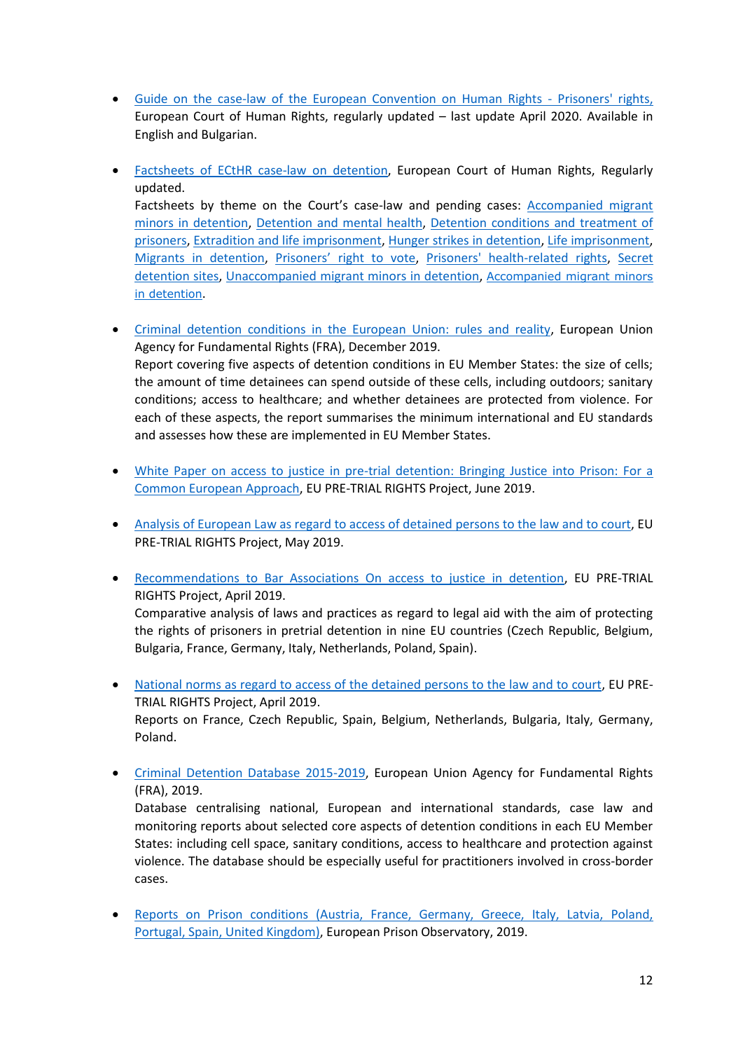- [Guide on the case-law of the European Convention on Human Rights -](https://www.echr.coe.int/Documents/Guide_Prisoners_rights_ENG.pdf) Prisoners' rights, European Court of Human Rights, regularly updated – last update April 2020. Available in English and Bulgarian.
- [Factsheets of ECtHR case-law on detention,](https://www.echr.coe.int/Pages/home.aspx?p=press/factsheets&c=) European Court of Human Rights, Regularly updated. Factsheets by theme on the Court's case-law and pending cases: [Accompanied migrant](https://www.echr.coe.int/Documents/FS_Accompanied_migrant_minors_detention_ENG.pdf)  [minors in detention,](https://www.echr.coe.int/Documents/FS_Accompanied_migrant_minors_detention_ENG.pdf) [Detention and mental health,](https://www.echr.coe.int/Documents/FS_Detention_mental_health_ENG.pdf) [Detention conditions and treatment of](https://www.echr.coe.int/Documents/FS_Detention_conditions_ENG.pdf)  [prisoners,](https://www.echr.coe.int/Documents/FS_Detention_conditions_ENG.pdf) [Extradition and life imprisonment,](https://www.echr.coe.int/Documents/FS_Extradition_life_sentence_ENG.pdf) [Hunger strikes in detention,](https://www.echr.coe.int/Documents/FS_Hunger_strikes_detention_ENG.pdf) [Life imprisonment,](https://www.echr.coe.int/Documents/FS_Life_sentences_ENG.pdf) [Migrants in detention,](https://www.echr.coe.int/Documents/FS_Migrants_detention_ENG.pdf) [Prisoners' right to](https://www.echr.coe.int/Documents/FS_Prisoners_vote_ENG.pdf) vote, [Prisoners' health-related rights,](https://www.echr.coe.int/Documents/FS_Prisoners_health_ENG.pdf) [Secret](https://www.echr.coe.int/Documents/FS_Secret_detention_ENG.PDF)  [detention sites,](https://www.echr.coe.int/Documents/FS_Secret_detention_ENG.PDF) [Unaccompanied migrant minors in detention,](https://www.echr.coe.int/Documents/FS_Unaccompanied_migrant_minors_detention_ENG.pdf) [Accompanied migrant minors](https://www.echr.coe.int/Documents/FS_Accompanied_migrant_minors_detention_ENG.pdf)  [in detention](https://www.echr.coe.int/Documents/FS_Accompanied_migrant_minors_detention_ENG.pdf).
- [Criminal detention conditions in the European Union: rules and reality,](https://fra.europa.eu/sites/default/files/fra_uploads/fra-2019-criminal-detention-conditions-in-the-eu_en.pdf) European Union Agency for Fundamental Rights (FRA), December 2019. Report covering five aspects of detention conditions in EU Member States: the size of cells; the amount of time detainees can spend outside of these cells, including outdoors; sanitary conditions; access to healthcare; and whether detainees are protected from violence. For each of these aspects, the report summarises the minimum international and EU standards and assesses how these are implemented in EU Member States.
- [White Paper on access to justice in pre-trial detention: Bringing Justice into Prison: For a](https://www.prisonlitigation.org/livre-blanc-sur-lacces-au-droit-et-au-juge-en-detention-provisoire/?lang=en)  [Common European Approach,](https://www.prisonlitigation.org/livre-blanc-sur-lacces-au-droit-et-au-juge-en-detention-provisoire/?lang=en) EU PRE-TRIAL RIGHTS Project, June 2019.
- [Analysis of European Law as regard to access of detained persons to the](https://www.prisonlitigation.org/normes-europeennes-droit-de-lue-et-droit-cedh-relatives-a-lacces-des-detenu-e-s-au-droit-et-au-juge/?lang=en) law and to court, EU PRE-TRIAL RIGHTS Project, May 2019.
- [Recommendations to Bar Associations On access to justice in detention,](https://www.prisonlitigation.org/eupretrialrights/?lang=en) EU PRE-TRIAL RIGHTS Project, April 2019.

Comparative analysis of laws and practices as regard to legal aid with the aim of protecting the rights of prisoners in pretrial detention in nine EU countries (Czech Republic, Belgium, Bulgaria, France, Germany, Italy, Netherlands, Poland, Spain).

 [National norms as regard to access of the detained persons to the law and to court,](https://www.prisonlitigation.org/category/national-norms/?lang=en) EU PRE-TRIAL RIGHTS Project, April 2019.

Reports on France, Czech Republic, Spain, Belgium, Netherlands, Bulgaria, Italy, Germany, Poland.

 [Criminal Detention Database 2015-2019,](https://fra.europa.eu/en/databases/criminal-detention/criminal-detention) European Union Agency for Fundamental Rights (FRA), 2019.

Database centralising national, European and international standards, case law and monitoring reports about selected core aspects of detention conditions in each EU Member States: including cell space, sanitary conditions, access to healthcare and protection against violence. The database should be especially useful for practitioners involved in cross-border cases.

 [Reports on Prison conditions \(Austria, France, Germany, Greece, Italy, Latvia, Poland,](http://www.prisonobservatory.org/index.php?option=com_content&view=article&id=27&Itemid=131)  [Portugal, Spain, United Kingdom\),](http://www.prisonobservatory.org/index.php?option=com_content&view=article&id=27&Itemid=131) European Prison Observatory, 2019.